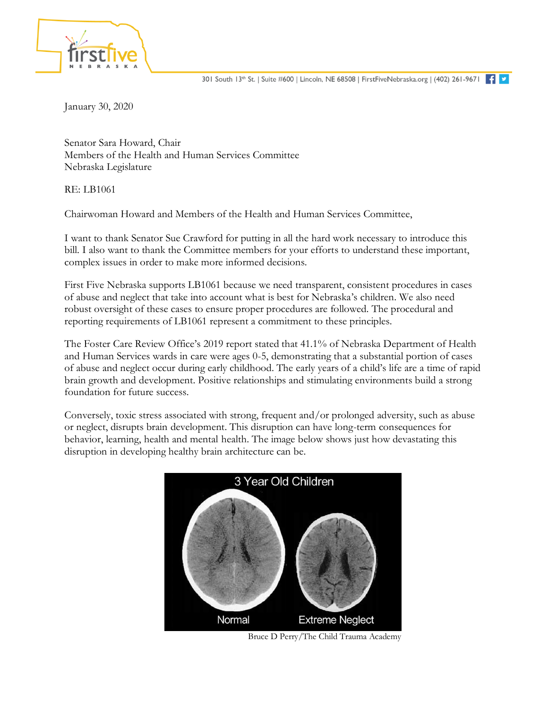January 30, 2020

Senator Sara Howard, Chair Members of the Health and Human Services Committee Nebraska Legislature

RE: LB1061

Chairwoman Howard and Members of the Health and Human Services Committee,

I want to thank Senator Sue Crawford for putting in all the hard work necessary to introduce this bill. I also want to thank the Committee members for your efforts to understand these important, complex issues in order to make more informed decisions.

First Five Nebraska supports LB1061 because we need transparent, consistent procedures in cases of abuse and neglect that take into account what is best for Nebraska's children. We also need robust oversight of these cases to ensure proper procedures are followed. The procedural and reporting requirements of LB1061 represent a commitment to these principles.

The Foster Care Review Office's 2019 report stated that 41.1% of Nebraska Department of Health and Human Services wards in care were ages 0-5, demonstrating that a substantial portion of cases of abuse and neglect occur during early childhood. The early years of a child's life are a time of rapid brain growth and development. Positive relationships and stimulating environments build a strong foundation for future success.

Conversely, toxic stress associated with strong, frequent and/or prolonged adversity, such as abuse or neglect, disrupts brain development. This disruption can have long-term consequences for behavior, learning, health and mental health. The image below shows just how devastating this disruption in developing healthy brain architecture can be.



Bruce D Perry/The Child Trauma Academy